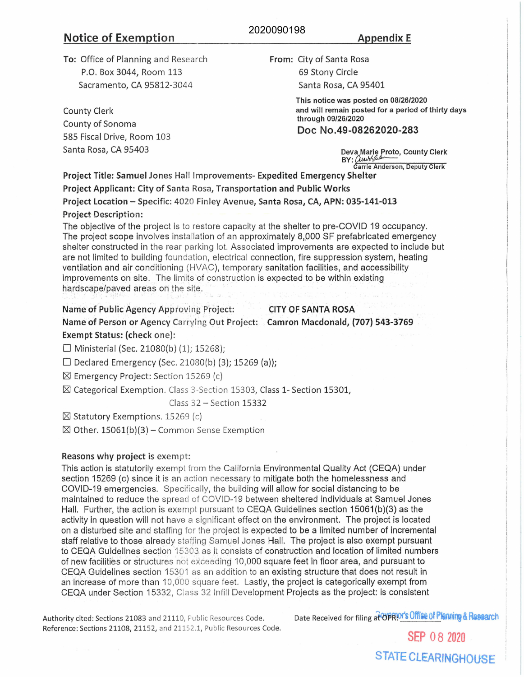# **Notice of Exemption Appendix E**

# 2020090198

**To:** Office of Planning and Research P.O. Box 3044, Room 113 Sacramento, CA 95812-3044

County Clerk County of Sonoma 585 Fiscal Drive, Room 103 Santa Rosa, CA 95403

**From:** City of Santa Rosa 69 Stony Circle Santa Rosa, CA 95401

> **This notice was posted on 08/26/2020 and will remain posted for a period of thirty days through 09/26/2020**

## **Doc No.49-08262020-283**

**Deva Marie Proto, County Clerk**<br>BY: *(Luve/func*our) **Carrie Anderson, Deputy Clerk** 

**Project Title: Samuel Jones Hall Improvements- Expedited Emergency Shelter Project Applicant: City of** Santa Rosa, **Transportation and Public Works Project Location** - Specific: 4020 Finley Avenue, **Santa Rosa, CA, APN: 035-141-013** 

### **Project** Description:

The objective of the project is to restore capacity at the shelter to pre-COVID 19 occupancy. The project scope involves installation of an approximately 8,000 SF prefabricated emergency shelter constructed in the rear parking lot. Associated improvements are expected to include but are not limited to building foundation, electrical connection, fire suppression system, heating ventilation and air conditioning (HVAC), temporary sanitation facilities, and accessibility improvements on site. The limits of construction is expected to be within existing hardscape/paved areas on the site.

#### Name of Public Agency Approving Project: CITY OF SANTA ROSA

**Name of Person or Agency** Carrying Out Project: **Camren Macdonald, (707) 543-3769 Exempt Status: (check** one):

 $\Box$  Ministerial (Sec. 21080(b) (1); 15268);

 $\square$  Declared Emergency (Sec. 21080(b) (3); 15269 (a));

 $\boxtimes$  Emergency Project: Section 15269 (c)

 $\boxtimes$  Categorical Exemption. Class 3-Section 15303, Class 1- Section 15301,

Class 32 - Section 15332

 $\boxtimes$  Statutory Exemptions. 15269 (c)

 $\boxtimes$  Other. 15061(b)(3) – Common Sense Exemption

#### **Reasons why project is exempt:**

This action is statutorily exempt from the California Environmental Quality Act (CEQA) under section 15269 (c) since it is an action necessary to mitigate both the homelessness and COVID-19 emergencies. Specifically, the building will allow for social distancing to be maintained to reduce the spread of COVID-19 between sheltered individuals at Samuel Jones Hall. Further, the action is exempt pursuant to CEQA Guidelines section  $15061(b)(3)$  as the activity in question will not have a significant effect on the environment. The project is located on a disturbed site and staffing for the project is expected to be a limited number of incremental staff relative to those already staffing Samuel Jones Hall. The project is also exempt pursuant to CEQA Guidelines section 15303. as it consists of construction and location of limited numbers of new facilities or structures not exceeding 10,000 square feet in floor area, and pursuant to CEQA Guidelines section 15301 as an addition to an existing structure that does not result in an increase of more than 10,000 square feet. Lastly, the project is categorically exempt from CEQA under Section 15332, Class 32 Infill Development Projects as the project: is consistent

Reference: Sections 21108, 21152, and 21152.1, Public Resources Code.

Authority cited: Sections 21083 and 21110, Public Resources Code. Date Received for filing at OPRIOT's Office of Planning & Research

SEP 08 2020 STATE CLEARINGHOUSE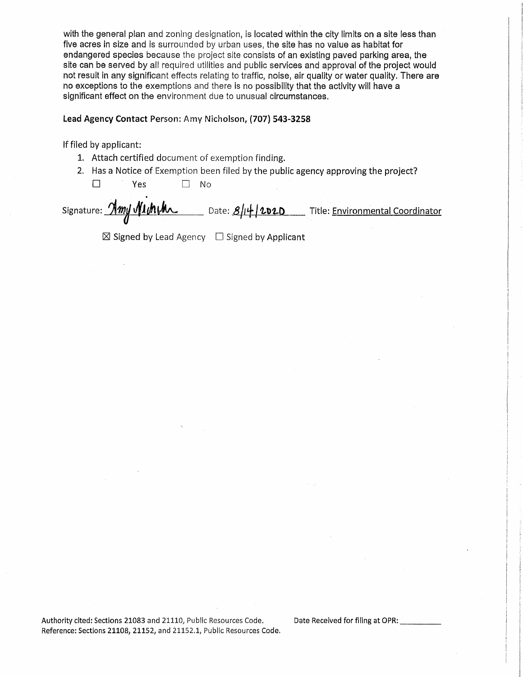with the general plan and zoning designation, is located within the city limits on a site less than five acres in size and is surrounded by urban uses, the site has no value as habitat for endangered species because the project site consists of an existing paved parking area, the site can be served by all required utilities and public services and approval of the project would not result in any significant effects relating to traffic, noise, air quality or water quality. There are no exceptions to the exemptions and there is no possibility that the activity will have a significant effect on the environment due to unusual circumstances.

#### **Lead Agency Contact** Person: Amy Nicholson, **{707) 543-3258**

If filed by applicant:

- 1. Attach certified document of exemption finding.
- 2. Has a Notice of Exemption been filed by the public agency approving the project?

□ Yes □ No

Signature: *Amy Michthoshylics Cate: 8/14/2020* Title: Environmental Coordinator

 $\boxtimes$  Signed by Lead Agency  $\Box$  Signed by Applicant

Authority cited: Sections 21083 and 21110, Public Resources Code. Date Received for filing at OPR: Reference: Sections 21108, 21152, and 21152.1, Public Resources Code.